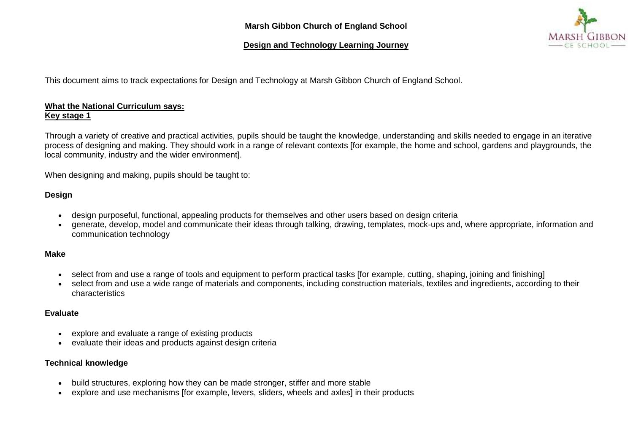## **Design and Technology Learning Journey**



This document aims to track expectations for Design and Technology at Marsh Gibbon Church of England School.

### **What the National Curriculum says: Key stage 1**

Through a variety of creative and practical activities, pupils should be taught the knowledge, understanding and skills needed to engage in an iterative process of designing and making. They should work in a range of relevant contexts [for example, the home and school, gardens and playgrounds, the local community, industry and the wider environment].

When designing and making, pupils should be taught to:

# **Design**

- design purposeful, functional, appealing products for themselves and other users based on design criteria
- generate, develop, model and communicate their ideas through talking, drawing, templates, mock-ups and, where appropriate, information and communication technology

### **Make**

- select from and use a range of tools and equipment to perform practical tasks [for example, cutting, shaping, joining and finishing]
- select from and use a wide range of materials and components, including construction materials, textiles and ingredients, according to their characteristics

### **Evaluate**

- explore and evaluate a range of existing products
- evaluate their ideas and products against design criteria

# **Technical knowledge**

- build structures, exploring how they can be made stronger, stiffer and more stable
- explore and use mechanisms [for example, levers, sliders, wheels and axles] in their products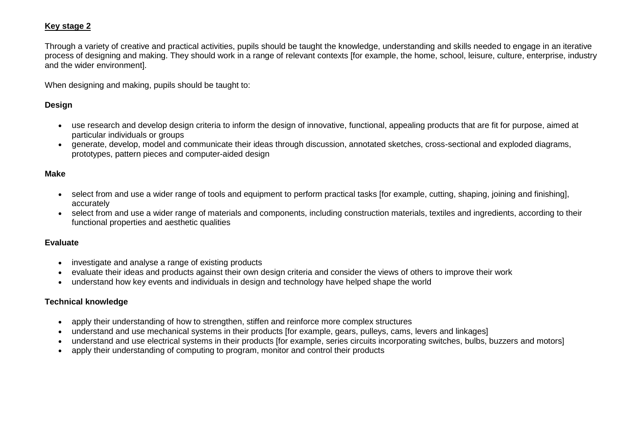## **Key stage 2**

Through a variety of creative and practical activities, pupils should be taught the knowledge, understanding and skills needed to engage in an iterative process of designing and making. They should work in a range of relevant contexts [for example, the home, school, leisure, culture, enterprise, industry and the wider environment].

When designing and making, pupils should be taught to:

# **Design**

- use research and develop design criteria to inform the design of innovative, functional, appealing products that are fit for purpose, aimed at particular individuals or groups
- generate, develop, model and communicate their ideas through discussion, annotated sketches, cross-sectional and exploded diagrams, prototypes, pattern pieces and computer-aided design

### **Make**

- select from and use a wider range of tools and equipment to perform practical tasks [for example, cutting, shaping, joining and finishing], accurately
- select from and use a wider range of materials and components, including construction materials, textiles and ingredients, according to their functional properties and aesthetic qualities

### **Evaluate**

- investigate and analyse a range of existing products
- evaluate their ideas and products against their own design criteria and consider the views of others to improve their work
- understand how key events and individuals in design and technology have helped shape the world

## **Technical knowledge**

- apply their understanding of how to strengthen, stiffen and reinforce more complex structures
- understand and use mechanical systems in their products [for example, gears, pulleys, cams, levers and linkages]
- understand and use electrical systems in their products [for example, series circuits incorporating switches, bulbs, buzzers and motors]
- apply their understanding of computing to program, monitor and control their products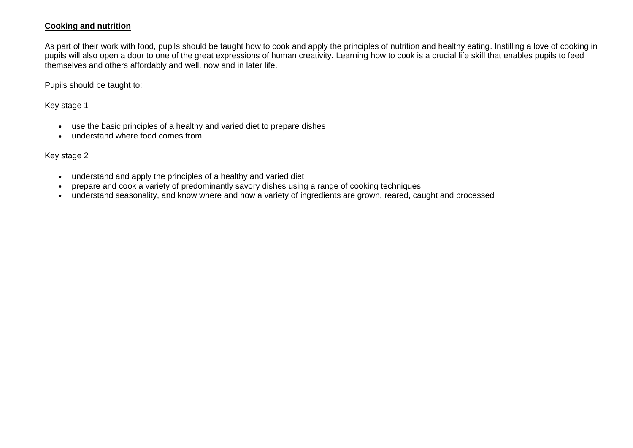### **Cooking and nutrition**

As part of their work with food, pupils should be taught how to cook and apply the principles of nutrition and healthy eating. Instilling a love of cooking in pupils will also open a door to one of the great expressions of human creativity. Learning how to cook is a crucial life skill that enables pupils to feed themselves and others affordably and well, now and in later life.

Pupils should be taught to:

Key stage 1

- use the basic principles of a healthy and varied diet to prepare dishes
- understand where food comes from

### Key stage 2

- understand and apply the principles of a healthy and varied diet
- prepare and cook a variety of predominantly savory dishes using a range of cooking techniques
- understand seasonality, and know where and how a variety of ingredients are grown, reared, caught and processed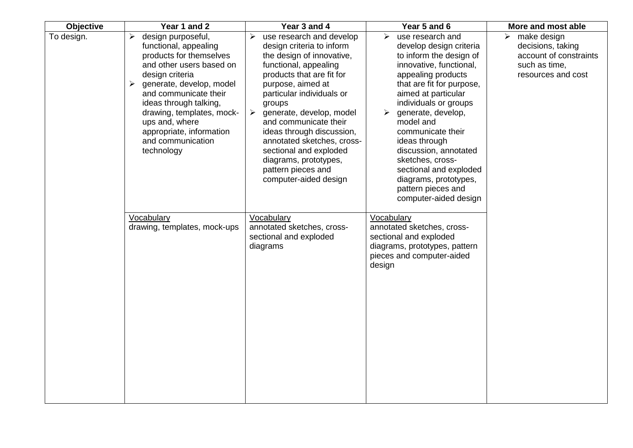| Objective  | Year 1 and 2                                                                                                                                                                                                                                                                                                                                     | Year 3 and 4                                                                                                                                                                                                                                                                                                                                                                                                                     | Year 5 and 6                                                                                                                                                                                                                                                                                                                                                                                                                      | More and most able                                                                                     |
|------------|--------------------------------------------------------------------------------------------------------------------------------------------------------------------------------------------------------------------------------------------------------------------------------------------------------------------------------------------------|----------------------------------------------------------------------------------------------------------------------------------------------------------------------------------------------------------------------------------------------------------------------------------------------------------------------------------------------------------------------------------------------------------------------------------|-----------------------------------------------------------------------------------------------------------------------------------------------------------------------------------------------------------------------------------------------------------------------------------------------------------------------------------------------------------------------------------------------------------------------------------|--------------------------------------------------------------------------------------------------------|
| To design. | design purposeful,<br>➤<br>functional, appealing<br>products for themselves<br>and other users based on<br>design criteria<br>generate, develop, model<br>$\blacktriangleright$<br>and communicate their<br>ideas through talking,<br>drawing, templates, mock-<br>ups and, where<br>appropriate, information<br>and communication<br>technology | use research and develop<br>➤<br>design criteria to inform<br>the design of innovative,<br>functional, appealing<br>products that are fit for<br>purpose, aimed at<br>particular individuals or<br>groups<br>generate, develop, model<br>➤<br>and communicate their<br>ideas through discussion,<br>annotated sketches, cross-<br>sectional and exploded<br>diagrams, prototypes,<br>pattern pieces and<br>computer-aided design | ≻<br>use research and<br>develop design criteria<br>to inform the design of<br>innovative, functional,<br>appealing products<br>that are fit for purpose,<br>aimed at particular<br>individuals or groups<br>generate, develop,<br>model and<br>communicate their<br>ideas through<br>discussion, annotated<br>sketches, cross-<br>sectional and exploded<br>diagrams, prototypes,<br>pattern pieces and<br>computer-aided design | make design<br>➤<br>decisions, taking<br>account of constraints<br>such as time,<br>resources and cost |
|            | Vocabulary<br>drawing, templates, mock-ups                                                                                                                                                                                                                                                                                                       | Vocabulary<br>annotated sketches, cross-<br>sectional and exploded<br>diagrams                                                                                                                                                                                                                                                                                                                                                   | Vocabulary<br>annotated sketches, cross-<br>sectional and exploded<br>diagrams, prototypes, pattern<br>pieces and computer-aided<br>design                                                                                                                                                                                                                                                                                        |                                                                                                        |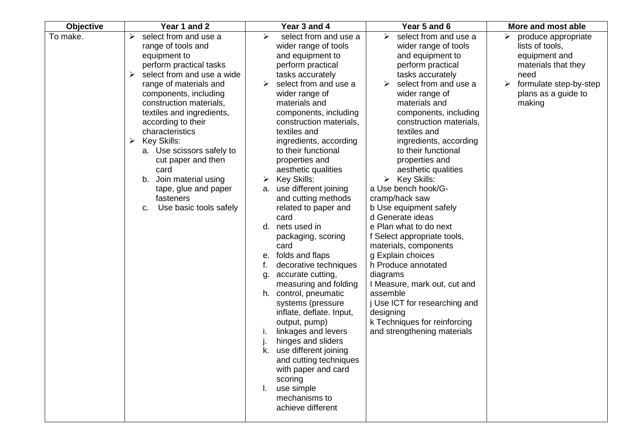| <b>Objective</b> | Year 1 and 2                                                                                                                                                                                                                                                                                                                                                                                                                                                                            | Year 3 and 4                                                                                                                                                                                                                                                                                                                                                                                                                                                                                                                                                                                                                                                                                                                                                                                                                                                                                     | Year 5 and 6                                                                                                                                                                                                                                                                                                                                                                                                                                                                                                                                                                                                                                                                                                                                       | More and most able                                                                                                                                     |
|------------------|-----------------------------------------------------------------------------------------------------------------------------------------------------------------------------------------------------------------------------------------------------------------------------------------------------------------------------------------------------------------------------------------------------------------------------------------------------------------------------------------|--------------------------------------------------------------------------------------------------------------------------------------------------------------------------------------------------------------------------------------------------------------------------------------------------------------------------------------------------------------------------------------------------------------------------------------------------------------------------------------------------------------------------------------------------------------------------------------------------------------------------------------------------------------------------------------------------------------------------------------------------------------------------------------------------------------------------------------------------------------------------------------------------|----------------------------------------------------------------------------------------------------------------------------------------------------------------------------------------------------------------------------------------------------------------------------------------------------------------------------------------------------------------------------------------------------------------------------------------------------------------------------------------------------------------------------------------------------------------------------------------------------------------------------------------------------------------------------------------------------------------------------------------------------|--------------------------------------------------------------------------------------------------------------------------------------------------------|
| To make.         | select from and use a<br>➤<br>range of tools and<br>equipment to<br>perform practical tasks<br>select from and use a wide<br>➤<br>range of materials and<br>components, including<br>construction materials,<br>textiles and ingredients,<br>according to their<br>characteristics<br>Key Skills:<br>$\blacktriangleright$<br>a. Use scissors safely to<br>cut paper and then<br>card<br>Join material using<br>b.<br>tape, glue and paper<br>fasteners<br>Use basic tools safely<br>c. | select from and use a<br>➤<br>wider range of tools<br>and equipment to<br>perform practical<br>tasks accurately<br>select from and use a<br>wider range of<br>materials and<br>components, including<br>construction materials,<br>textiles and<br>ingredients, according<br>to their functional<br>properties and<br>aesthetic qualities<br><b>Key Skills:</b><br>a. use different joining<br>and cutting methods<br>related to paper and<br>card<br>d. nets used in<br>packaging, scoring<br>card<br>folds and flaps<br>е.<br>decorative techniques<br>accurate cutting,<br>g.<br>measuring and folding<br>h. control, pneumatic<br>systems (pressure<br>inflate, deflate. Input,<br>output, pump)<br>linkages and levers<br>hinges and sliders<br>k.<br>use different joining<br>and cutting techniques<br>with paper and card<br>scoring<br>use simple<br>mechanisms to<br>achieve different | select from and use a<br>➤<br>wider range of tools<br>and equipment to<br>perform practical<br>tasks accurately<br>select from and use a<br>wider range of<br>materials and<br>components, including<br>construction materials,<br>textiles and<br>ingredients, according<br>to their functional<br>properties and<br>aesthetic qualities<br>Key Skills:<br>a Use bench hook/G-<br>cramp/hack saw<br>b Use equipment safely<br>d Generate ideas<br>e Plan what to do next<br>f Select appropriate tools,<br>materials, components<br>g Explain choices<br>h Produce annotated<br>diagrams<br>I Measure, mark out, cut and<br>assemble<br>j Use ICT for researching and<br>designing<br>k Techniques for reinforcing<br>and strengthening materials | produce appropriate<br>➤<br>lists of tools,<br>equipment and<br>materials that they<br>need<br>formulate step-by-step<br>plans as a guide to<br>making |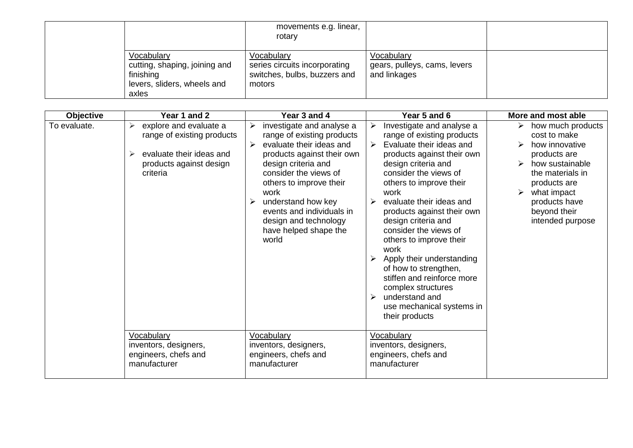|                                                                                                  | movements e.g. linear,<br>rotary                                                      |                                                            |  |
|--------------------------------------------------------------------------------------------------|---------------------------------------------------------------------------------------|------------------------------------------------------------|--|
| Vocabulary<br>cutting, shaping, joining and<br>finishing<br>levers, sliders, wheels and<br>axles | Vocabulary<br>series circuits incorporating<br>switches, bulbs, buzzers and<br>motors | Vocabulary<br>gears, pulleys, cams, levers<br>and linkages |  |

| Objective    | Year 1 and 2                                                                                                            | Year 3 and 4                                                                                                                                                                                                                                                                                                                 | Year 5 and 6                                                                                                                                                                                                                                                                                                                                                                                                                                                                                                                      | More and most able                                                                                                                                                                                                                |
|--------------|-------------------------------------------------------------------------------------------------------------------------|------------------------------------------------------------------------------------------------------------------------------------------------------------------------------------------------------------------------------------------------------------------------------------------------------------------------------|-----------------------------------------------------------------------------------------------------------------------------------------------------------------------------------------------------------------------------------------------------------------------------------------------------------------------------------------------------------------------------------------------------------------------------------------------------------------------------------------------------------------------------------|-----------------------------------------------------------------------------------------------------------------------------------------------------------------------------------------------------------------------------------|
| To evaluate. | explore and evaluate a<br>range of existing products<br>evaluate their ideas and<br>products against design<br>criteria | investigate and analyse a<br>range of existing products<br>evaluate their ideas and<br>➤<br>products against their own<br>design criteria and<br>consider the views of<br>others to improve their<br>work<br>understand how key<br>➤<br>events and individuals in<br>design and technology<br>have helped shape the<br>world | Investigate and analyse a<br>range of existing products<br>Evaluate their ideas and<br>products against their own<br>design criteria and<br>consider the views of<br>others to improve their<br>work<br>evaluate their ideas and<br>products against their own<br>design criteria and<br>consider the views of<br>others to improve their<br>work<br>Apply their understanding<br>of how to strengthen,<br>stiffen and reinforce more<br>complex structures<br>understand and<br>➤<br>use mechanical systems in<br>their products | how much products<br>➤<br>cost to make<br>how innovative<br>➤<br>products are<br>how sustainable<br>the materials in<br>products are<br>$\blacktriangleright$<br>what impact<br>products have<br>beyond their<br>intended purpose |
|              | Vocabulary<br>inventors, designers,<br>engineers, chefs and<br>manufacturer                                             | <b>Vocabulary</b><br>inventors, designers,<br>engineers, chefs and<br>manufacturer                                                                                                                                                                                                                                           | Vocabulary<br>inventors, designers,<br>engineers, chefs and<br>manufacturer                                                                                                                                                                                                                                                                                                                                                                                                                                                       |                                                                                                                                                                                                                                   |